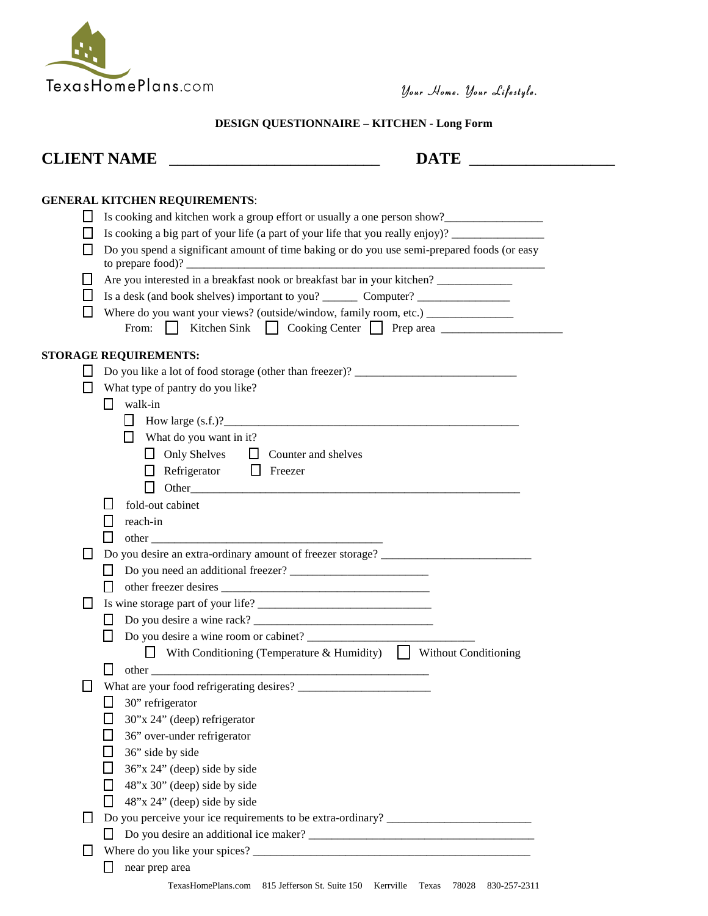

**CLIENT NAME \_\_\_\_\_\_\_\_\_\_\_\_\_\_\_\_\_\_\_\_\_\_\_\_\_\_ DATE \_\_\_\_\_\_\_\_\_\_\_\_\_\_\_\_\_\_**

## **DESIGN QUESTIONNAIRE – KITCHEN - Long Form**

| <b>CLIENT NAME</b> |  |
|--------------------|--|
|                    |  |

## **GENERAL KITCHEN REQUIREMENTS**:

|        | OERERAL RH CHER REQUIREMENTS.                                                                       |
|--------|-----------------------------------------------------------------------------------------------------|
|        | Is cooking and kitchen work a group effort or usually a one person show?                            |
|        | Is cooking a big part of your life (a part of your life that you really enjoy)? ___________________ |
|        | Do you spend a significant amount of time baking or do you use semi-prepared foods (or easy         |
|        | to prepare food)?                                                                                   |
|        | Are you interested in a breakfast nook or breakfast bar in your kitchen? ______________             |
|        |                                                                                                     |
| ΙI     | Where do you want your views? (outside/window, family room, etc.) _______________                   |
|        | From: $  $                                                                                          |
|        |                                                                                                     |
|        | <b>STORAGE REQUIREMENTS:</b>                                                                        |
| П      | Do you like a lot of food storage (other than freezer)? ________________________                    |
| ப      | What type of pantry do you like?                                                                    |
|        | walk-in<br>П                                                                                        |
|        | $\Box$ How large (s.f.)?                                                                            |
|        | $\Box$ What do you want in it?                                                                      |
|        | □ Only Shelves □ Counter and shelves                                                                |
|        | $\Box$ Refrigerator $\Box$ Freezer                                                                  |
|        | $\mathsf{L}$                                                                                        |
|        | fold-out cabinet                                                                                    |
|        | reach-in<br>$\mathsf{L}$                                                                            |
|        | ΙI                                                                                                  |
| П      | Do you desire an extra-ordinary amount of freezer storage? _____________________                    |
|        |                                                                                                     |
|        | $\perp$                                                                                             |
| П      |                                                                                                     |
|        | $\mathsf{L}$                                                                                        |
|        |                                                                                                     |
|        | $\Box$ With Conditioning (Temperature & Humidity) $\Box$ Without Conditioning                       |
|        | $\perp$                                                                                             |
| ⊔      |                                                                                                     |
|        | $\Box$ 30" refrigerator                                                                             |
|        | 30"x 24" (deep) refrigerator                                                                        |
|        | 36" over-under refrigerator<br>$\mathsf{L}$                                                         |
|        | 36" side by side                                                                                    |
|        | 36"x 24" (deep) side by side<br>ΙI                                                                  |
|        | 48"x 30" (deep) side by side<br>l I                                                                 |
|        | 48"x 24" (deep) side by side<br>ΙI                                                                  |
| $\Box$ | Do you perceive your ice requirements to be extra-ordinary? ____________________                    |
|        | ΙI                                                                                                  |
| Ш      |                                                                                                     |
|        | near prep area<br>ΙI                                                                                |
|        |                                                                                                     |
|        | TexasHomePlans.com 815 Jefferson St. Suite 150 Kerrville Texas 78028 830-257-2311                   |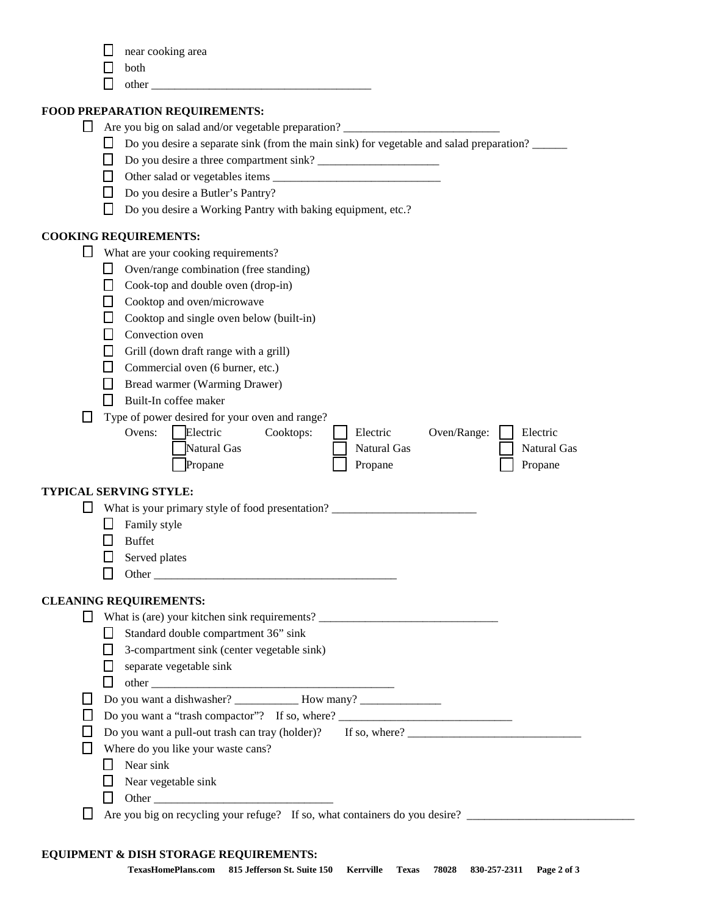|  |  | near cooking area |  |
|--|--|-------------------|--|
|--|--|-------------------|--|

- **both**
- 

## **FOOD**

|              | other                                                                                                                                                                                                                          |
|--------------|--------------------------------------------------------------------------------------------------------------------------------------------------------------------------------------------------------------------------------|
|              | FOOD PREPARATION REQUIREMENTS:                                                                                                                                                                                                 |
| $\Box$       | Are you big on salad and/or vegetable preparation? ______________________________                                                                                                                                              |
| U            | Do you desire a separate sink (from the main sink) for vegetable and salad preparation?                                                                                                                                        |
| LΙ           |                                                                                                                                                                                                                                |
| l I          |                                                                                                                                                                                                                                |
| П            | Do you desire a Butler's Pantry?                                                                                                                                                                                               |
|              | Do you desire a Working Pantry with baking equipment, etc.?                                                                                                                                                                    |
|              | <b>COOKING REQUIREMENTS:</b>                                                                                                                                                                                                   |
| Ц            | What are your cooking requirements?                                                                                                                                                                                            |
| LΙ           | Oven/range combination (free standing)                                                                                                                                                                                         |
| $\mathsf{L}$ | Cook-top and double oven (drop-in)                                                                                                                                                                                             |
| H            | Cooktop and oven/microwave                                                                                                                                                                                                     |
| ΙI           | Cooktop and single oven below (built-in)                                                                                                                                                                                       |
|              | Convection oven                                                                                                                                                                                                                |
| $\perp$      | Grill (down draft range with a grill)                                                                                                                                                                                          |
|              | $\Box$ Commercial oven (6 burner, etc.)                                                                                                                                                                                        |
| LΙ           | Bread warmer (Warming Drawer)                                                                                                                                                                                                  |
|              | Built-In coffee maker                                                                                                                                                                                                          |
|              | Type of power desired for your oven and range?                                                                                                                                                                                 |
|              | Electric<br>Ovens:<br>Cooktops:<br>Electric<br>Oven/Range:<br>Electric                                                                                                                                                         |
|              | Natural Gas<br>Natural Gas<br>Natural Gas                                                                                                                                                                                      |
|              | Propane<br>Propane<br>Propane                                                                                                                                                                                                  |
|              | <b>TYPICAL SERVING STYLE:</b>                                                                                                                                                                                                  |
|              | What is your primary style of food presentation? ________________________________                                                                                                                                              |
|              | Family style                                                                                                                                                                                                                   |
|              | <b>Buffet</b>                                                                                                                                                                                                                  |
|              | Served plates                                                                                                                                                                                                                  |
|              | Other than the contract of the contract of the contract of the contract of the contract of the contract of the contract of the contract of the contract of the contract of the contract of the contract of the contract of the |
|              | <b>CLEANING REQUIREMENTS:</b>                                                                                                                                                                                                  |
|              | What is (are) your kitchen sink requirements? __________________________________                                                                                                                                               |
|              | Standard double compartment 36" sink                                                                                                                                                                                           |
|              | 3-compartment sink (center vegetable sink)                                                                                                                                                                                     |
|              | separate vegetable sink                                                                                                                                                                                                        |
|              |                                                                                                                                                                                                                                |
|              |                                                                                                                                                                                                                                |
|              | Do you want a "trash compactor"? If so, where? __________________________________                                                                                                                                              |
|              | Do you want a pull-out trash can tray (holder)? If so, where?                                                                                                                                                                  |

- Where do you like your waste cans?
	- $\Box$  Near sink
	- $\Box$  Near vegetable sink
	- Other \_\_\_\_\_\_\_\_\_\_\_\_\_\_\_\_\_\_\_\_\_\_\_\_\_\_\_\_\_\_\_

Are you big on recycling your refuge? If so, what containers do you desire? \_\_\_\_\_\_\_\_\_\_\_\_\_\_\_\_\_\_\_\_\_\_\_\_\_\_\_\_\_

## **EQUIPMENT & DISH STORAGE REQUIREMENTS:**